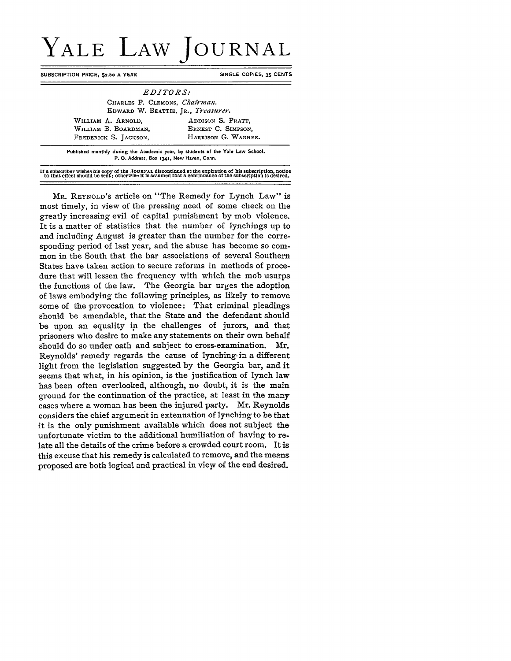## YALE LAW **JOURNAL**

**SUBSCRIPTION PRICE, \$2.50 A YEAR SINGLE COPIES, 35 CENTS** 

| CHARLES F. CLEMONS, Chairman.      |                     |
|------------------------------------|---------------------|
| EDWARD W. BEATTIE, JR., Treasurer. |                     |
| WILLIAM A. ARNOLD,                 | ADDISON S. PRATT.   |
| WILLIAM B. BOARDMAN.               | ERNEST C. SIMPSON.  |
| FREDERICK S. JACKSON,              | HARRISON G. WAGNER. |

If a subscriber wishes his copy of the JOURNAL discontinued at the expiration of his subscription, notice<br>to that effect should be sent; otherwise it is assumed that a continuance of the subscription is desired.

MR. **REYNOLD'S** article on "The Remedy for Lynch Law" is **most** timely, in view of the pressing need of some check on the greatly increasing evil of capital punishment **by** mob violence. It is a matter of statistics that the number of lynchings up to and including August is greater than the number for the corresponding period of last year, and the abuse has become so common in the South that the bar associations of several Southern States have taken action to secure reforms in methods of procedure that will lessen the frequency with which the mob usurps the functions of the law. The Georgia bar urges the adoption of laws embodying the following principles, as likely to remove some of the provocation to violence: That criminal pleadings should be amendable, that the State and the defendant should be upon an equality **in** the challenges of jurors, and that prisoners who desire to make any statements on their own behalf should do so under oath and subject to cross-examination. Mr. Reynolds' remedy regards the cause of lynching- in a different light from the legislation suggested **by** the Georgia bar, and it seems that what, in his opinion, is the justification of lynch law has been often overlooked, although, no doubt, it is the main ground for the continuation of the practice, at least in the many cases where a woman *has* been the injured party. Mr. Reynolds considers the chief argument in extenuation of lynching to be that it is the only punishment available which does not subject the unfortunate victim to the additional humiliation of having to relate all the details of the crime before a crowded court room. It is this excuse that his remedy is calculated to remove, and the means proposed are both logical and practical in view of the end desired.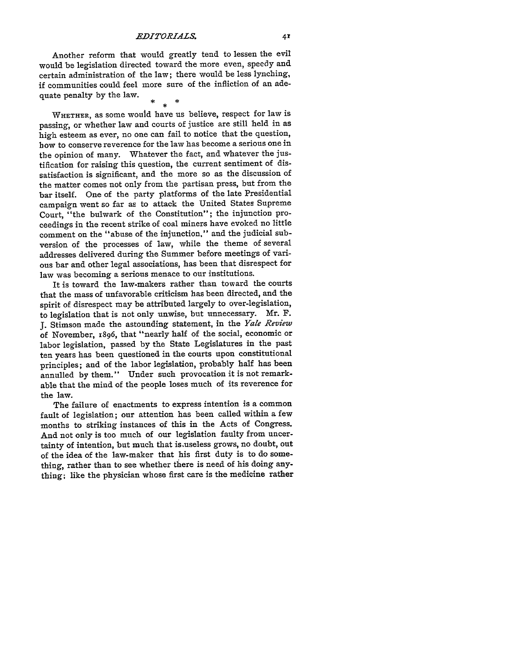Another reform that would greatly tend to lessen the evil would be legislation directed toward the more even, speedy and certain administration of the law; there would be less lynching, if communities could feel more sure of the infliction of an adequate penalty by the law.

WHETHER, as some would have us believe, respect for law is passing, or whether law and courts of justice are still held in as high esteem as ever, no one can fail to notice that the question, bow to conserve reverence for the law has become a serious one in the opinion of many. Whatever the fact, and whatever the justification for raising this question, the current sentiment of dissatisfaction is significant, and the more so as the discussion of the matter comes not only from the partisan press, but from the bar itself. One of the party platforms of the late Presidential campaign went so far as to attack the United States Supreme Court, "the bulwark of the Constitution"; the injunction proceedings in the recent strike of coal miners have evoked no little comment on the "abuse of the injunction," and the judicial subversion of the processes of law, while the theme of several addresses delivered during the Summer before meetings of various bar and other legal associations, has been that disrespect for law was becoming a serious menace to our institutions.

It is toward the law-makers rather than toward the courts that the mass of unfavorable criticism has been directed, and the spirit of disrespect may be attributed largely to over-legislation, to legislation that is not only unwise, but unnecessary. Mr. F. J. Stimson made the astounding statement, in the *Yale Review* of November, 1896, that "nearly half of the social, economic or labor legislation, passed by the State Legislatures in the past ten years has been questioned in the courts upon constitutional principles; and of the labor legislation, probably half has been annulled by them." Under such provocation it is not remarkable that the mind of the people loses much of its reverence for the law.

The failure of enactments to express intention is a common fault of legislation; our attention has been called within a few months to striking instances of this in the Acts of Congress. And not only is too much of our legislation faulty from uncertainty of intention, but much that is.useless grows, no doubt, out of the idea of the law-maker that his first duty is to do something, rather than to see whether there is need of his doing anything; like the physician whose first care is the medicine rather